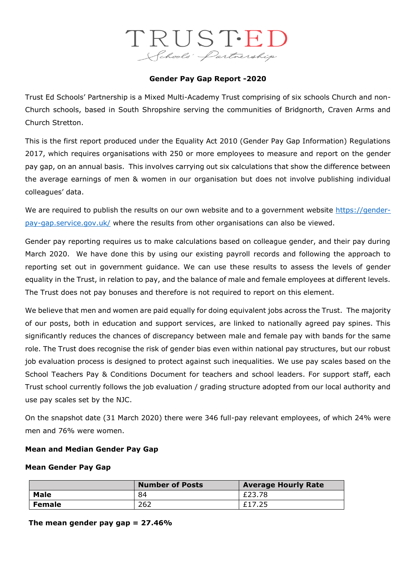# TRUSTED Schools Partnership

### **Gender Pay Gap Report -2020**

Trust Ed Schools' Partnership is a Mixed Multi-Academy Trust comprising of six schools Church and non-Church schools, based in South Shropshire serving the communities of Bridgnorth, Craven Arms and Church Stretton.

This is the first report produced under the Equality Act 2010 (Gender Pay Gap Information) Regulations 2017, which requires organisations with 250 or more employees to measure and report on the gender pay gap, on an annual basis. This involves carrying out six calculations that show the difference between the average earnings of men & women in our organisation but does not involve publishing individual colleagues' data.

We are required to publish the results on our own website and to a government website [https://gender](https://gender-pay-gap.service.gov.uk/)[pay-gap.service.gov.uk/](https://gender-pay-gap.service.gov.uk/) where the results from other organisations can also be viewed.

Gender pay reporting requires us to make calculations based on colleague gender, and their pay during March 2020. We have done this by using our existing payroll records and following the approach to reporting set out in government guidance. We can use these results to assess the levels of gender equality in the Trust, in relation to pay, and the balance of male and female employees at different levels. The Trust does not pay bonuses and therefore is not required to report on this element.

We believe that men and women are paid equally for doing equivalent jobs across the Trust. The majority of our posts, both in education and support services, are linked to nationally agreed pay spines. This significantly reduces the chances of discrepancy between male and female pay with bands for the same role. The Trust does recognise the risk of gender bias even within national pay structures, but our robust job evaluation process is designed to protect against such inequalities. We use pay scales based on the School Teachers Pay & Conditions Document for teachers and school leaders. For support staff, each Trust school currently follows the job evaluation / grading structure adopted from our local authority and use pay scales set by the NJC.

On the snapshot date (31 March 2020) there were 346 full-pay relevant employees, of which 24% were men and 76% were women.

#### **Mean and Median Gender Pay Gap**

#### **Mean Gender Pay Gap**

|               | <b>Number of Posts</b> | <b>Average Hourly Rate</b> |  |
|---------------|------------------------|----------------------------|--|
| Male          | 84                     | £23.78                     |  |
| <b>Female</b> | 262                    | £17.25                     |  |

**The mean gender pay gap = 27.46%**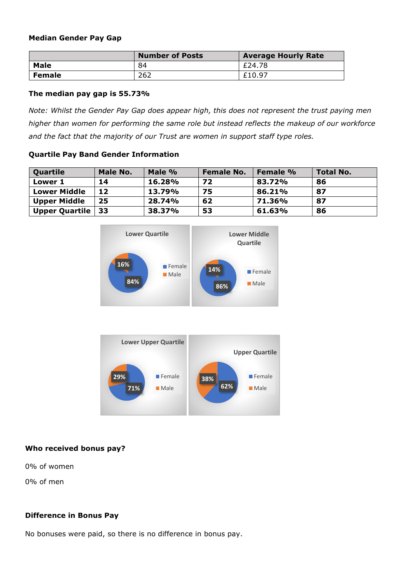### **Median Gender Pay Gap**

|        | <b>Number of Posts</b> | <b>Average Hourly Rate</b> |  |
|--------|------------------------|----------------------------|--|
| Male   | 84                     | £24.78                     |  |
| Female | 262                    | £10.97                     |  |

## **The median pay gap is 55.73%**

*Note: Whilst the Gender Pay Gap does appear high, this does not represent the trust paying men higher than women for performing the same role but instead reflects the makeup of our workforce and the fact that the majority of our Trust are women in support staff type roles.*

## **Quartile Pay Band Gender Information**

| Quartile              | <b>Male No.</b> | Male % | <b>Female No.</b> | Female % | <b>Total No.</b> |
|-----------------------|-----------------|--------|-------------------|----------|------------------|
| Lower 1               | 14              | 16.28% | 72                | 83.72%   | 86               |
| <b>Lower Middle</b>   | 12              | 13.79% | 75                | 86.21%   | 87               |
| <b>Upper Middle</b>   | 25              | 28.74% | 62                | 71.36%   | 87               |
| <b>Upper Quartile</b> | 33              | 38.37% | 53                | 61.63%   | 86               |





# **Who received bonus pay?**

0% of women

0% of men

# **Difference in Bonus Pay**

No bonuses were paid, so there is no difference in bonus pay.